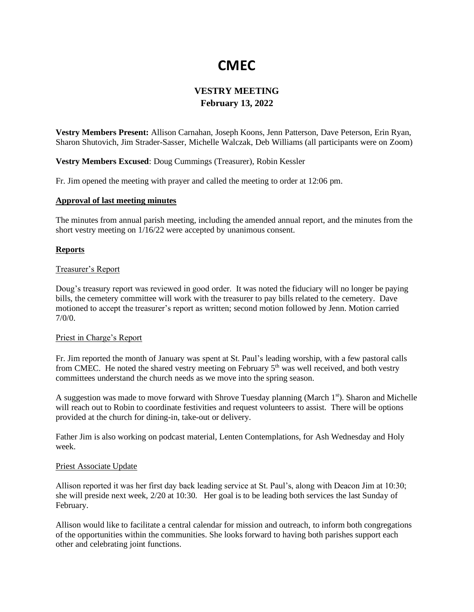# **CMEC**

## **VESTRY MEETING February 13, 2022**

**Vestry Members Present:** Allison Carnahan, Joseph Koons, Jenn Patterson, Dave Peterson, Erin Ryan, Sharon Shutovich, Jim Strader-Sasser, Michelle Walczak, Deb Williams (all participants were on Zoom)

**Vestry Members Excused**: Doug Cummings (Treasurer), Robin Kessler

Fr. Jim opened the meeting with prayer and called the meeting to order at 12:06 pm.

#### **Approval of last meeting minutes**

The minutes from annual parish meeting, including the amended annual report, and the minutes from the short vestry meeting on 1/16/22 were accepted by unanimous consent.

### **Reports**

#### Treasurer's Report

Doug's treasury report was reviewed in good order. It was noted the fiduciary will no longer be paying bills, the cemetery committee will work with the treasurer to pay bills related to the cemetery. Dave motioned to accept the treasurer's report as written; second motion followed by Jenn. Motion carried 7/0/0.

#### Priest in Charge's Report

Fr. Jim reported the month of January was spent at St. Paul's leading worship, with a few pastoral calls from CMEC. He noted the shared vestry meeting on February  $5<sup>th</sup>$  was well received, and both vestry committees understand the church needs as we move into the spring season.

A suggestion was made to move forward with Shrove Tuesday planning (March  $1<sup>st</sup>$ ). Sharon and Michelle will reach out to Robin to coordinate festivities and request volunteers to assist. There will be options provided at the church for dining-in, take-out or delivery.

Father Jim is also working on podcast material, Lenten Contemplations, for Ash Wednesday and Holy week.

#### Priest Associate Update

Allison reported it was her first day back leading service at St. Paul's, along with Deacon Jim at 10:30; she will preside next week, 2/20 at 10:30. Her goal is to be leading both services the last Sunday of February.

Allison would like to facilitate a central calendar for mission and outreach, to inform both congregations of the opportunities within the communities. She looks forward to having both parishes support each other and celebrating joint functions.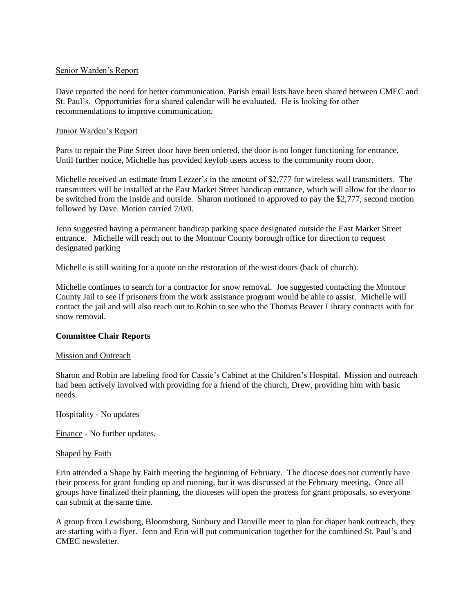### Senior Warden's Report

Dave reported the need for better communication. Parish email lists have been shared between CMEC and St. Paul's. Opportunities for a shared calendar will be evaluated. He is looking for other recommendations to improve communication.

#### Junior Warden's Report

Parts to repair the Pine Street door have been ordered, the door is no longer functioning for entrance. Until further notice, Michelle has provided keyfob users access to the community room door.

Michelle received an estimate from Lezzer's in the amount of \$2,777 for wireless wall transmitters. The transmitters will be installed at the East Market Street handicap entrance, which will allow for the door to be switched from the inside and outside. Sharon motioned to approved to pay the \$2,777, second motion followed by Dave. Motion carried 7/0/0.

Jenn suggested having a permanent handicap parking space designated outside the East Market Street entrance. Michelle will reach out to the Montour County borough office for direction to request designated parking

Michelle is still waiting for a quote on the restoration of the west doors (back of church).

Michelle continues to search for a contractor for snow removal. Joe suggested contacting the Montour County Jail to see if prisoners from the work assistance program would be able to assist. Michelle will contact the jail and will also reach out to Robin to see who the Thomas Beaver Library contracts with for snow removal.

### **Committee Chair Reports**

#### Mission and Outreach

Sharon and Robin are labeling food for Cassie's Cabinet at the Children's Hospital. Mission and outreach had been actively involved with providing for a friend of the church, Drew, providing him with basic needs.

Hospitality - No updates

Finance - No further updates.

#### Shaped by Faith

Erin attended a Shape by Faith meeting the beginning of February. The diocese does not currently have their process for grant funding up and running, but it was discussed at the February meeting. Once all groups have finalized their planning, the dioceses will open the process for grant proposals, so everyone can submit at the same time.

A group from Lewisburg, Bloomsburg, Sunbury and Danville meet to plan for diaper bank outreach, they are starting with a flyer. Jenn and Erin will put communication together for the combined St. Paul's and CMEC newsletter.